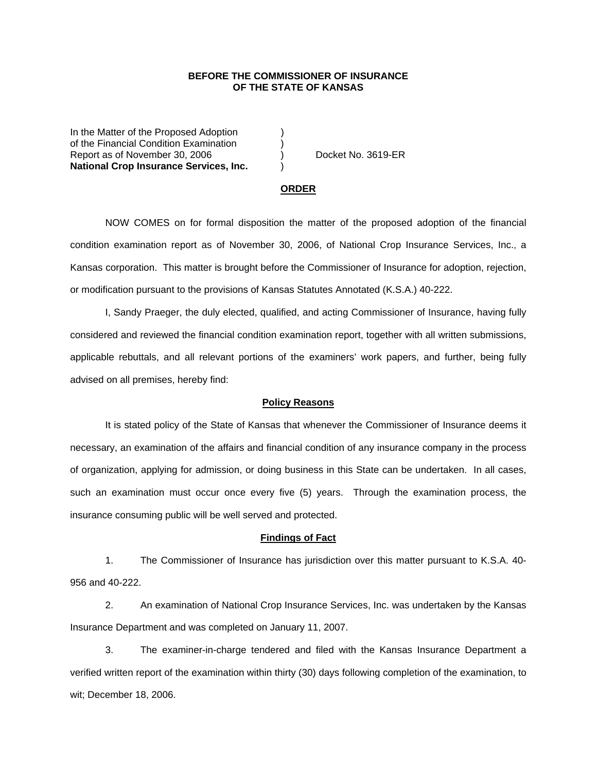## **BEFORE THE COMMISSIONER OF INSURANCE OF THE STATE OF KANSAS**

In the Matter of the Proposed Adoption of the Financial Condition Examination ) Report as of November 30, 2006 (a) Docket No. 3619-ER **National Crop Insurance Services, Inc.** )

#### **ORDER**

 NOW COMES on for formal disposition the matter of the proposed adoption of the financial condition examination report as of November 30, 2006, of National Crop Insurance Services, Inc., a Kansas corporation. This matter is brought before the Commissioner of Insurance for adoption, rejection, or modification pursuant to the provisions of Kansas Statutes Annotated (K.S.A.) 40-222.

 I, Sandy Praeger, the duly elected, qualified, and acting Commissioner of Insurance, having fully considered and reviewed the financial condition examination report, together with all written submissions, applicable rebuttals, and all relevant portions of the examiners' work papers, and further, being fully advised on all premises, hereby find:

### **Policy Reasons**

 It is stated policy of the State of Kansas that whenever the Commissioner of Insurance deems it necessary, an examination of the affairs and financial condition of any insurance company in the process of organization, applying for admission, or doing business in this State can be undertaken. In all cases, such an examination must occur once every five (5) years. Through the examination process, the insurance consuming public will be well served and protected.

#### **Findings of Fact**

 1. The Commissioner of Insurance has jurisdiction over this matter pursuant to K.S.A. 40- 956 and 40-222.

 2. An examination of National Crop Insurance Services, Inc. was undertaken by the Kansas Insurance Department and was completed on January 11, 2007.

 3. The examiner-in-charge tendered and filed with the Kansas Insurance Department a verified written report of the examination within thirty (30) days following completion of the examination, to wit; December 18, 2006.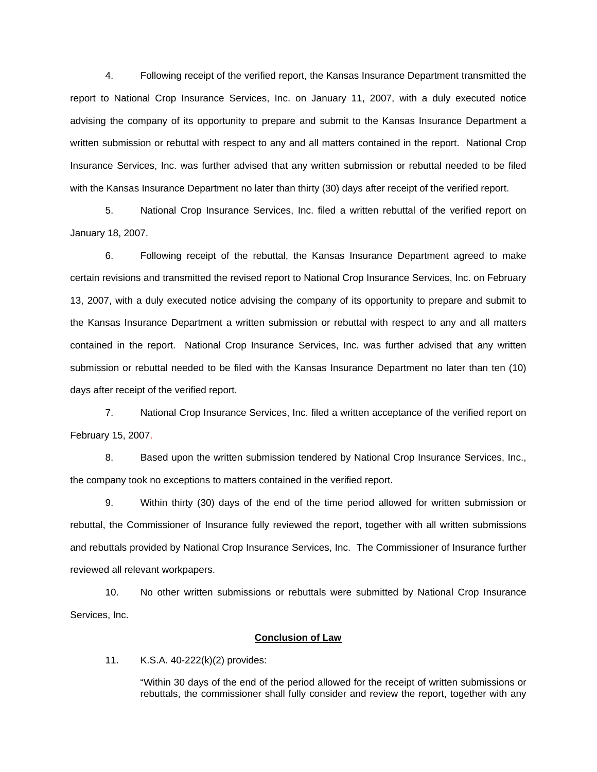4. Following receipt of the verified report, the Kansas Insurance Department transmitted the report to National Crop Insurance Services, Inc. on January 11, 2007, with a duly executed notice advising the company of its opportunity to prepare and submit to the Kansas Insurance Department a written submission or rebuttal with respect to any and all matters contained in the report. National Crop Insurance Services, Inc. was further advised that any written submission or rebuttal needed to be filed with the Kansas Insurance Department no later than thirty (30) days after receipt of the verified report.

 5. National Crop Insurance Services, Inc. filed a written rebuttal of the verified report on January 18, 2007.

 6. Following receipt of the rebuttal, the Kansas Insurance Department agreed to make certain revisions and transmitted the revised report to National Crop Insurance Services, Inc. on February 13, 2007, with a duly executed notice advising the company of its opportunity to prepare and submit to the Kansas Insurance Department a written submission or rebuttal with respect to any and all matters contained in the report. National Crop Insurance Services, Inc. was further advised that any written submission or rebuttal needed to be filed with the Kansas Insurance Department no later than ten (10) days after receipt of the verified report.

 7. National Crop Insurance Services, Inc. filed a written acceptance of the verified report on February 15, 2007.

8. Based upon the written submission tendered by National Crop Insurance Services, Inc., the company took no exceptions to matters contained in the verified report.

 9. Within thirty (30) days of the end of the time period allowed for written submission or rebuttal, the Commissioner of Insurance fully reviewed the report, together with all written submissions and rebuttals provided by National Crop Insurance Services, Inc. The Commissioner of Insurance further reviewed all relevant workpapers.

 10. No other written submissions or rebuttals were submitted by National Crop Insurance Services, Inc.

## **Conclusion of Law**

11. K.S.A. 40-222(k)(2) provides:

"Within 30 days of the end of the period allowed for the receipt of written submissions or rebuttals, the commissioner shall fully consider and review the report, together with any